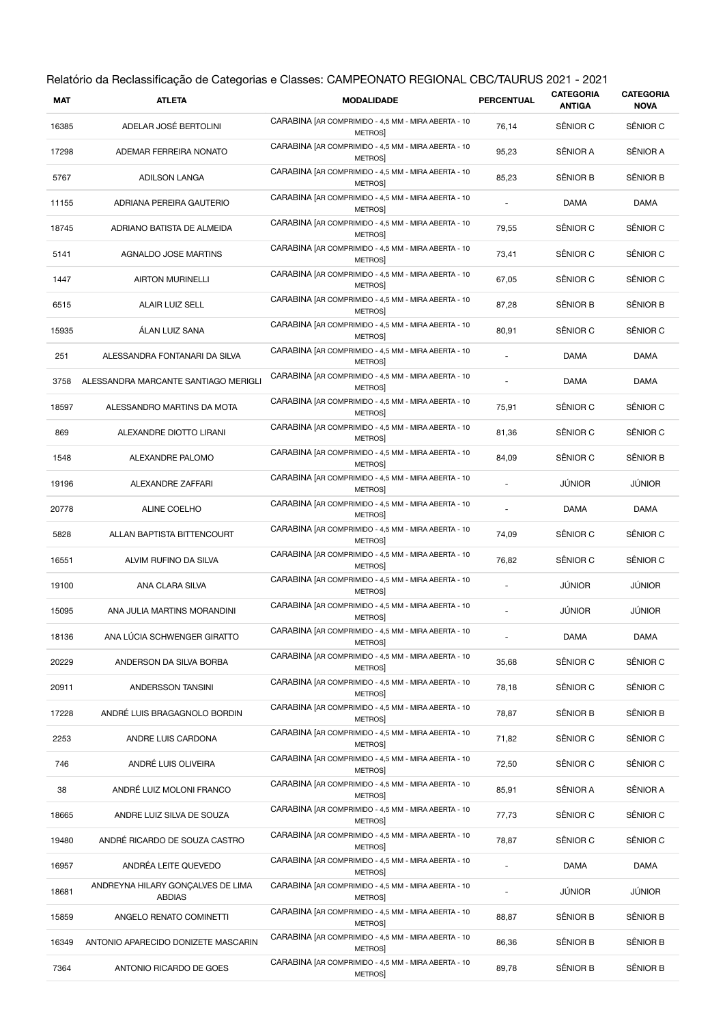|       | Relatório da Reclassificação de Categorias e Classes: CAMPEONATO REGIONAL CBC/TAURUS 2021 - 2021 |                                                                      |                          |                                   |                                 |  |
|-------|--------------------------------------------------------------------------------------------------|----------------------------------------------------------------------|--------------------------|-----------------------------------|---------------------------------|--|
| MAT   | <b>ATLETA</b>                                                                                    | <b>MODALIDADE</b>                                                    | <b>PERCENTUAL</b>        | <b>CATEGORIA</b><br><b>ANTIGA</b> | <b>CATEGORIA</b><br><b>NOVA</b> |  |
| 16385 | ADELAR JOSÉ BERTOLINI                                                                            | CARABINA [AR COMPRIMIDO - 4,5 MM - MIRA ABERTA - 10<br>METROS        | 76,14                    | SÊNIOR C                          | SÊNIOR C                        |  |
| 17298 | ADEMAR FERREIRA NONATO                                                                           | CARABINA [AR COMPRIMIDO - 4,5 MM - MIRA ABERTA - 10<br><b>METROS</b> | 95,23                    | SÊNIOR A                          | SÊNIOR A                        |  |
| 5767  | <b>ADILSON LANGA</b>                                                                             | CARABINA [AR COMPRIMIDO - 4,5 MM - MIRA ABERTA - 10<br>METROS        | 85,23                    | SÊNIOR B                          | SÊNIOR B                        |  |
| 11155 | ADRIANA PEREIRA GAUTERIO                                                                         | CARABINA [AR COMPRIMIDO - 4,5 MM - MIRA ABERTA - 10<br>METROS        | ÷,                       | <b>DAMA</b>                       | DAMA                            |  |
| 18745 | ADRIANO BATISTA DE ALMEIDA                                                                       | CARABINA [AR COMPRIMIDO - 4,5 MM - MIRA ABERTA - 10<br><b>METROS</b> | 79,55                    | SÊNIOR C                          | SÊNIOR C                        |  |
| 5141  | AGNALDO JOSE MARTINS                                                                             | CARABINA [AR COMPRIMIDO - 4,5 MM - MIRA ABERTA - 10<br>METROS        | 73,41                    | SÊNIOR C                          | SÊNIOR C                        |  |
| 1447  | <b>AIRTON MURINELLI</b>                                                                          | CARABINA [AR COMPRIMIDO - 4,5 MM - MIRA ABERTA - 10<br>METROS        | 67,05                    | SÊNIOR C                          | SÊNIOR C                        |  |
| 6515  | ALAIR LUIZ SELL                                                                                  | CARABINA [AR COMPRIMIDO - 4,5 MM - MIRA ABERTA - 10<br>METROS        | 87,28                    | SÊNIOR B                          | SÊNIOR B                        |  |
| 15935 | ÁLAN LUIZ SANA                                                                                   | CARABINA [AR COMPRIMIDO - 4,5 MM - MIRA ABERTA - 10<br><b>METROS</b> | 80,91                    | SÊNIOR C                          | SÊNIOR C                        |  |
| 251   | ALESSANDRA FONTANARI DA SILVA                                                                    | CARABINA [AR COMPRIMIDO - 4,5 MM - MIRA ABERTA - 10<br>METROS        | $\overline{\phantom{a}}$ | DAMA                              | DAMA                            |  |
| 3758  | ALESSANDRA MARCANTE SANTIAGO MERIGLI                                                             | CARABINA [AR COMPRIMIDO - 4,5 MM - MIRA ABERTA - 10<br><b>METROS</b> |                          | DAMA                              | DAMA                            |  |
| 18597 | ALESSANDRO MARTINS DA MOTA                                                                       | CARABINA [AR COMPRIMIDO - 4,5 MM - MIRA ABERTA - 10<br>METROS        | 75,91                    | SÊNIOR C                          | SÊNIOR C                        |  |
| 869   | ALEXANDRE DIOTTO LIRANI                                                                          | CARABINA [AR COMPRIMIDO - 4,5 MM - MIRA ABERTA - 10<br>METROS        | 81,36                    | SÊNIOR C                          | SÊNIOR C                        |  |
| 1548  | ALEXANDRE PALOMO                                                                                 | CARABINA [AR COMPRIMIDO - 4,5 MM - MIRA ABERTA - 10<br>METROS        | 84,09                    | SÊNIOR C                          | SÊNIOR B                        |  |
| 19196 | ALEXANDRE ZAFFARI                                                                                | CARABINA [AR COMPRIMIDO - 4,5 MM - MIRA ABERTA - 10<br>METROS        |                          | <b>JÚNIOR</b>                     | JÚNIOR                          |  |
| 20778 | ALINE COELHO                                                                                     | CARABINA [AR COMPRIMIDO - 4,5 MM - MIRA ABERTA - 10<br>METROS        |                          | DAMA                              | DAMA                            |  |
| 5828  | ALLAN BAPTISTA BITTENCOURT                                                                       | CARABINA [AR COMPRIMIDO - 4,5 MM - MIRA ABERTA - 10<br>METROS        | 74,09                    | SÊNIOR C                          | SÊNIOR C                        |  |
| 16551 | ALVIM RUFINO DA SILVA                                                                            | CARABINA [AR COMPRIMIDO - 4,5 MM - MIRA ABERTA - 10<br>METROS        | 76,82                    | SÊNIOR C                          | SÊNIOR C                        |  |
| 19100 | ANA CLARA SILVA                                                                                  | CARABINA [AR COMPRIMIDO - 4,5 MM - MIRA ABERTA - 10<br><b>METROS</b> |                          | JÚNIOR                            | JÚNIOR                          |  |
| 15095 | ANA JULIA MARTINS MORANDINI                                                                      | CARABINA [AR COMPRIMIDO - 4,5 MM - MIRA ABERTA - 10<br>METROS]       |                          | <b>JÚNIOR</b>                     | JÚNIOR                          |  |
| 18136 | ANA LÚCIA SCHWENGER GIRATTO                                                                      | CARABINA [AR COMPRIMIDO - 4,5 MM - MIRA ABERTA - 10<br><b>METROS</b> |                          | DAMA                              | <b>DAMA</b>                     |  |
| 20229 | ANDERSON DA SILVA BORBA                                                                          | CARABINA [AR COMPRIMIDO - 4,5 MM - MIRA ABERTA - 10<br>METROS        | 35,68                    | SÊNIOR C                          | SÊNIOR C                        |  |
| 20911 | ANDERSSON TANSINI                                                                                | CARABINA [AR COMPRIMIDO - 4,5 MM - MIRA ABERTA - 10<br><b>METROS</b> | 78,18                    | SÊNIOR C                          | SÊNIOR C                        |  |
| 17228 | ANDRÉ LUIS BRAGAGNOLO BORDIN                                                                     | CARABINA [AR COMPRIMIDO - 4,5 MM - MIRA ABERTA - 10<br>METROS]       | 78,87                    | SÊNIOR B                          | SÊNIOR B                        |  |
| 2253  | ANDRE LUIS CARDONA                                                                               | CARABINA [AR COMPRIMIDO - 4,5 MM - MIRA ABERTA - 10<br><b>METROS</b> | 71,82                    | SÊNIOR C                          | SÊNIOR C                        |  |
| 746   | ANDRÉ LUIS OLIVEIRA                                                                              | CARABINA [AR COMPRIMIDO - 4,5 MM - MIRA ABERTA - 10<br><b>METROS</b> | 72,50                    | SÊNIOR C                          | SÊNIOR C                        |  |
| 38    | ANDRÉ LUIZ MOLONI FRANCO                                                                         | CARABINA [AR COMPRIMIDO - 4,5 MM - MIRA ABERTA - 10<br>METROS]       | 85,91                    | SÊNIOR A                          | SÊNIOR A                        |  |
| 18665 | ANDRE LUIZ SILVA DE SOUZA                                                                        | CARABINA [AR COMPRIMIDO - 4,5 MM - MIRA ABERTA - 10<br>METROS        | 77,73                    | SÊNIOR C                          | SÊNIOR C                        |  |
| 19480 | ANDRÉ RICARDO DE SOUZA CASTRO                                                                    | CARABINA [AR COMPRIMIDO - 4,5 MM - MIRA ABERTA - 10<br><b>METROS</b> | 78,87                    | SÊNIOR C                          | SÊNIOR C                        |  |
| 16957 | ANDRÉA LEITE QUEVEDO                                                                             | CARABINA [AR COMPRIMIDO - 4,5 MM - MIRA ABERTA - 10<br><b>METROS</b> |                          | DAMA                              | <b>DAMA</b>                     |  |
| 18681 | ANDREYNA HILARY GONÇALVES DE LIMA<br><b>ABDIAS</b>                                               | CARABINA [AR COMPRIMIDO - 4,5 MM - MIRA ABERTA - 10<br><b>METROS</b> |                          | <b>JÚNIOR</b>                     | JÚNIOR                          |  |
| 15859 | ANGELO RENATO COMINETTI                                                                          | CARABINA [AR COMPRIMIDO - 4,5 MM - MIRA ABERTA - 10<br>METROS        | 88,87                    | SÊNIOR B                          | SÊNIOR B                        |  |
| 16349 | ANTONIO APARECIDO DONIZETE MASCARIN                                                              | CARABINA [AR COMPRIMIDO - 4,5 MM - MIRA ABERTA - 10<br>METROS        | 86,36                    | SÊNIOR B                          | SÊNIOR B                        |  |
| 7364  | ANTONIO RICARDO DE GOES                                                                          | CARABINA [AR COMPRIMIDO - 4,5 MM - MIRA ABERTA - 10<br>METROS]       | 89,78                    | SÊNIOR B                          | SÊNIOR B                        |  |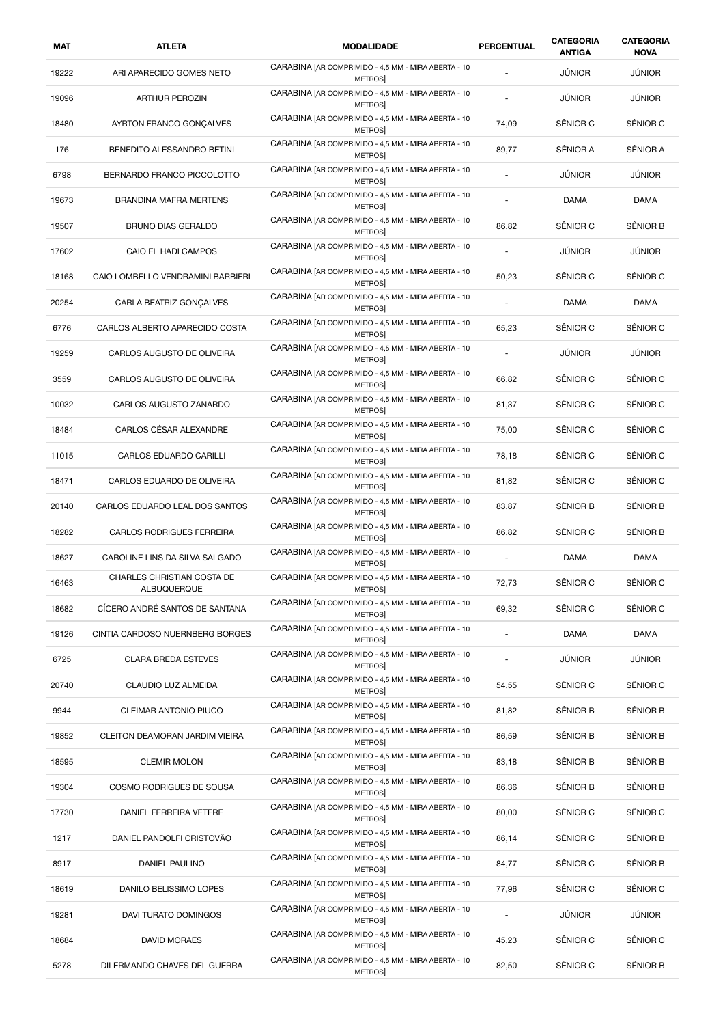| MAT   | <b>ATLETA</b>                             | <b>MODALIDADE</b>                                                    | PERCENTUAL               | CATEGORIA<br><b>ANTIGA</b> | CATEGORIA<br><b>NOVA</b> |
|-------|-------------------------------------------|----------------------------------------------------------------------|--------------------------|----------------------------|--------------------------|
| 19222 | ARI APARECIDO GOMES NETO                  | CARABINA [AR COMPRIMIDO - 4,5 MM - MIRA ABERTA - 10<br>METROS        |                          | <b>JÚNIOR</b>              | JÚNIOR                   |
| 19096 | ARTHUR PEROZIN                            | CARABINA [AR COMPRIMIDO - 4,5 MM - MIRA ABERTA - 10<br>METROS        |                          | JÚNIOR                     | JÚNIOR                   |
| 18480 | AYRTON FRANCO GONCALVES                   | CARABINA [AR COMPRIMIDO - 4,5 MM - MIRA ABERTA - 10<br>METROS        | 74,09                    | SÊNIOR C                   | SÊNIOR C                 |
| 176   | BENEDITO ALESSANDRO BETINI                | CARABINA [AR COMPRIMIDO - 4,5 MM - MIRA ABERTA - 10<br>METROS        | 89,77                    | SÊNIOR A                   | SÊNIOR A                 |
| 6798  | BERNARDO FRANCO PICCOLOTTO                | CARABINA [AR COMPRIMIDO - 4,5 MM - MIRA ABERTA - 10<br><b>METROS</b> |                          | JÚNIOR                     | <b>JÚNIOR</b>            |
| 19673 | <b>BRANDINA MAFRA MERTENS</b>             | CARABINA [AR COMPRIMIDO - 4,5 MM - MIRA ABERTA - 10<br><b>METROS</b> |                          | <b>DAMA</b>                | DAMA                     |
| 19507 | <b>BRUNO DIAS GERALDO</b>                 | CARABINA [AR COMPRIMIDO - 4,5 MM - MIRA ABERTA - 10<br>METROS        | 86,82                    | SÊNIOR C                   | SÊNIOR B                 |
| 17602 | CAIO EL HADI CAMPOS                       | CARABINA [AR COMPRIMIDO - 4,5 MM - MIRA ABERTA - 10<br><b>METROS</b> | $\sim$                   | <b>JÚNIOR</b>              | JÚNIOR                   |
| 18168 | CAIO LOMBELLO VENDRAMINI BARBIERI         | CARABINA [AR COMPRIMIDO - 4,5 MM - MIRA ABERTA - 10<br><b>METROS</b> | 50,23                    | SÊNIOR C                   | SÊNIOR C                 |
| 20254 | CARLA BEATRIZ GONÇALVES                   | CARABINA [AR COMPRIMIDO - 4,5 MM - MIRA ABERTA - 10<br><b>METROS</b> |                          | DAMA                       | DAMA                     |
| 6776  | CARLOS ALBERTO APARECIDO COSTA            | CARABINA [AR COMPRIMIDO - 4,5 MM - MIRA ABERTA - 10<br><b>METROS</b> | 65,23                    | SÊNIOR C                   | SÊNIOR C                 |
| 19259 | CARLOS AUGUSTO DE OLIVEIRA                | CARABINA [AR COMPRIMIDO - 4,5 MM - MIRA ABERTA - 10<br><b>METROS</b> | $\overline{\phantom{a}}$ | JÚNIOR                     | JÚNIOR                   |
| 3559  | CARLOS AUGUSTO DE OLIVEIRA                | CARABINA [AR COMPRIMIDO - 4,5 MM - MIRA ABERTA - 10<br>METROS        | 66,82                    | SÊNIOR C                   | SÊNIOR C                 |
| 10032 | CARLOS AUGUSTO ZANARDO                    | CARABINA [AR COMPRIMIDO - 4,5 MM - MIRA ABERTA - 10<br>METROS        | 81,37                    | SÊNIOR C                   | SÊNIOR C                 |
| 18484 | CARLOS CÉSAR ALEXANDRE                    | CARABINA [AR COMPRIMIDO - 4,5 MM - MIRA ABERTA - 10<br>METROS        | 75,00                    | SÊNIOR C                   | SÊNIOR C                 |
| 11015 | CARLOS EDUARDO CARILLI                    | CARABINA [AR COMPRIMIDO - 4,5 MM - MIRA ABERTA - 10<br>METROS]       | 78,18                    | SÊNIOR C                   | SÊNIOR C                 |
| 18471 | CARLOS EDUARDO DE OLIVEIRA                | CARABINA [AR COMPRIMIDO - 4,5 MM - MIRA ABERTA - 10<br>METROS        | 81,82                    | SÊNIOR C                   | SÊNIOR C                 |
| 20140 | CARLOS EDUARDO LEAL DOS SANTOS            | CARABINA [AR COMPRIMIDO - 4,5 MM - MIRA ABERTA - 10<br>METROS        | 83,87                    | SÊNIOR B                   | SÊNIOR B                 |
| 18282 | <b>CARLOS RODRIGUES FERREIRA</b>          | CARABINA [AR COMPRIMIDO - 4,5 MM - MIRA ABERTA - 10<br>METROS        | 86,82                    | SÊNIOR C                   | SÊNIOR B                 |
| 18627 | CAROLINE LINS DA SILVA SALGADO            | CARABINA [AR COMPRIMIDO - 4,5 MM - MIRA ABERTA - 10<br>METROS]       | ÷                        | DAMA                       | DAMA                     |
| 16463 | CHARLES CHRISTIAN COSTA DE<br>ALBUQUERQUE | CARABINA [AR COMPRIMIDO - 4,5 MM - MIRA ABERTA - 10<br><b>METROS</b> | 72,73                    | SÊNIOR C                   | SÊNIOR C                 |
| 18682 | CÍCERO ANDRÉ SANTOS DE SANTANA            | CARABINA [AR COMPRIMIDO - 4,5 MM - MIRA ABERTA - 10<br><b>METROS</b> | 69,32                    | SÊNIOR C                   | SÊNIOR C                 |
| 19126 | CINTIA CARDOSO NUERNBERG BORGES           | CARABINA [AR COMPRIMIDO - 4,5 MM - MIRA ABERTA - 10<br>METROS        | ä,                       | <b>DAMA</b>                | DAMA                     |
| 6725  | <b>CLARA BREDA ESTEVES</b>                | CARABINA [AR COMPRIMIDO - 4,5 MM - MIRA ABERTA - 10<br>METROS        |                          | JÚNIOR                     | JÚNIOR                   |
| 20740 | CLAUDIO LUZ ALMEIDA                       | CARABINA [AR COMPRIMIDO - 4,5 MM - MIRA ABERTA - 10<br>METROS        | 54,55                    | SÊNIOR C                   | SÊNIOR C                 |
| 9944  | CLEIMAR ANTONIO PIUCO                     | CARABINA [AR COMPRIMIDO - 4,5 MM - MIRA ABERTA - 10<br><b>METROS</b> | 81,82                    | SÊNIOR B                   | SÊNIOR B                 |
| 19852 | CLEITON DEAMORAN JARDIM VIEIRA            | CARABINA [AR COMPRIMIDO - 4,5 MM - MIRA ABERTA - 10<br><b>METROS</b> | 86,59                    | SÊNIOR B                   | SÊNIOR B                 |
| 18595 | <b>CLEMIR MOLON</b>                       | CARABINA [AR COMPRIMIDO - 4,5 MM - MIRA ABERTA - 10<br>METROS        | 83,18                    | SÊNIOR B                   | SÊNIOR B                 |
| 19304 | COSMO RODRIGUES DE SOUSA                  | CARABINA [AR COMPRIMIDO - 4,5 MM - MIRA ABERTA - 10<br>METROS        | 86,36                    | SÊNIOR B                   | SÊNIOR B                 |
| 17730 | DANIEL FERREIRA VETERE                    | CARABINA [AR COMPRIMIDO - 4,5 MM - MIRA ABERTA - 10<br><b>METROS</b> | 80,00                    | SÊNIOR C                   | SÊNIOR C                 |
| 1217  | DANIEL PANDOLFI CRISTOVÃO                 | CARABINA [AR COMPRIMIDO - 4,5 MM - MIRA ABERTA - 10<br>METROS        | 86,14                    | SÊNIOR C                   | SÊNIOR B                 |
| 8917  | DANIEL PAULINO                            | CARABINA [AR COMPRIMIDO - 4,5 MM - MIRA ABERTA - 10<br>METROS]       | 84,77                    | SÊNIOR C                   | SÊNIOR B                 |
| 18619 | DANILO BELISSIMO LOPES                    | CARABINA [AR COMPRIMIDO - 4,5 MM - MIRA ABERTA - 10<br>METROS        | 77,96                    | SÊNIOR C                   | SÊNIOR C                 |
| 19281 | DAVI TURATO DOMINGOS                      | CARABINA [AR COMPRIMIDO - 4,5 MM - MIRA ABERTA - 10<br>METROS        | $\overline{\phantom{a}}$ | JÚNIOR                     | JÚNIOR                   |
| 18684 | DAVID MORAES                              | CARABINA [AR COMPRIMIDO - 4,5 MM - MIRA ABERTA - 10<br>METROS        | 45,23                    | SÊNIOR C                   | SÊNIOR C                 |
| 5278  | DILERMANDO CHAVES DEL GUERRA              | CARABINA [AR COMPRIMIDO - 4,5 MM - MIRA ABERTA - 10<br>METROS]       | 82,50                    | SÊNIOR C                   | SÊNIOR B                 |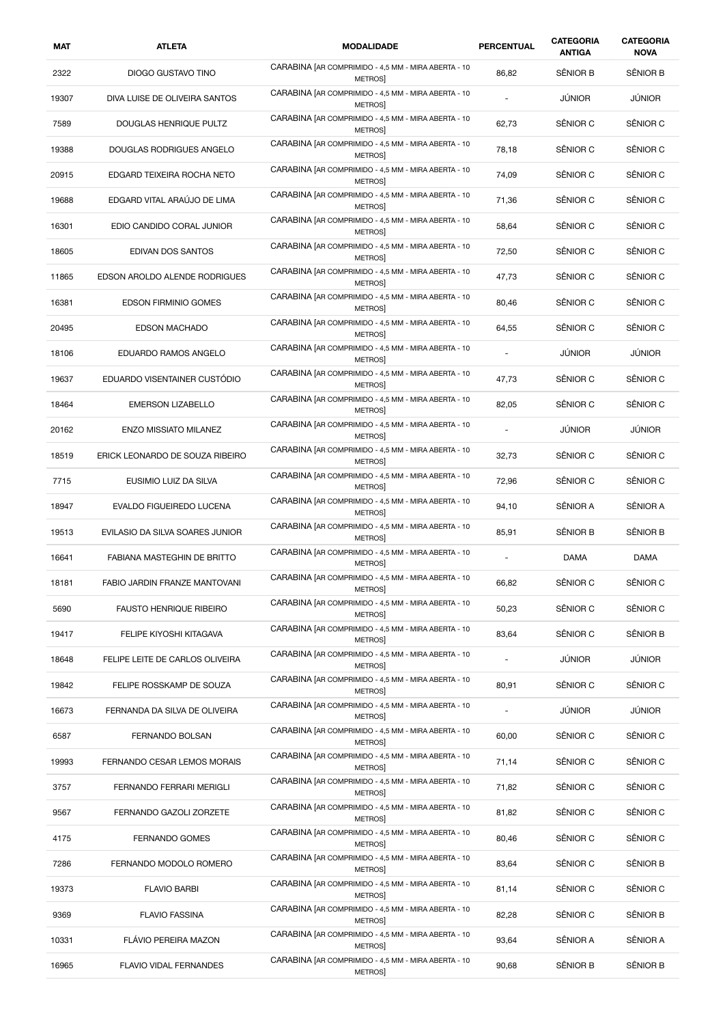| MAT   | <b>ATLETA</b>                   | <b>MODALIDADE</b>                                                     | <b>PERCENTUAL</b>        | <b>CATEGORIA</b><br><b>ANTIGA</b> | <b>CATEGORIA</b><br><b>NOVA</b> |
|-------|---------------------------------|-----------------------------------------------------------------------|--------------------------|-----------------------------------|---------------------------------|
| 2322  | DIOGO GUSTAVO TINO              | CARABINA [AR COMPRIMIDO - 4,5 MM - MIRA ABERTA - 10<br><b>METROS</b>  | 86,82                    | SÊNIOR B                          | SÊNIOR B                        |
| 19307 | DIVA LUISE DE OLIVEIRA SANTOS   | CARABINA [AR COMPRIMIDO - 4,5 MM - MIRA ABERTA - 10<br>METROS         |                          | JÚNIOR                            | JÚNIOR                          |
| 7589  | DOUGLAS HENRIQUE PULTZ          | CARABINA [AR COMPRIMIDO - 4,5 MM - MIRA ABERTA - 10<br>METROS         | 62,73                    | SÊNIOR C                          | SÊNIOR C                        |
| 19388 | DOUGLAS RODRIGUES ANGELO        | CARABINA [AR COMPRIMIDO - 4,5 MM - MIRA ABERTA - 10<br>METROS         | 78,18                    | SÊNIOR C                          | SÊNIOR C                        |
| 20915 | EDGARD TEIXEIRA ROCHA NETO      | CARABINA [AR COMPRIMIDO - 4,5 MM - MIRA ABERTA - 10<br><b>METROSI</b> | 74,09                    | SÊNIOR C                          | SÊNIOR C                        |
| 19688 | EDGARD VITAL ARAÚJO DE LIMA     | CARABINA [AR COMPRIMIDO - 4,5 MM - MIRA ABERTA - 10<br>METROS         | 71,36                    | SÊNIOR C                          | SÊNIOR C                        |
| 16301 | EDIO CANDIDO CORAL JUNIOR       | CARABINA [AR COMPRIMIDO - 4,5 MM - MIRA ABERTA - 10<br>METROS         | 58,64                    | SÊNIOR C                          | SÊNIOR C                        |
| 18605 | EDIVAN DOS SANTOS               | CARABINA [AR COMPRIMIDO - 4,5 MM - MIRA ABERTA - 10<br>METROS         | 72,50                    | SÊNIOR C                          | SÊNIOR C                        |
| 11865 | EDSON AROLDO ALENDE RODRIGUES   | CARABINA [AR COMPRIMIDO - 4,5 MM - MIRA ABERTA - 10<br><b>METROSI</b> | 47,73                    | SÊNIOR C                          | SÊNIOR C                        |
| 16381 | <b>EDSON FIRMINIO GOMES</b>     | CARABINA [AR COMPRIMIDO - 4,5 MM - MIRA ABERTA - 10<br>METROS         | 80,46                    | SÊNIOR C                          | SÊNIOR C                        |
| 20495 | <b>EDSON MACHADO</b>            | CARABINA [AR COMPRIMIDO - 4,5 MM - MIRA ABERTA - 10<br>METROS         | 64,55                    | SÊNIOR C                          | SÊNIOR C                        |
| 18106 | EDUARDO RAMOS ANGELO            | CARABINA [AR COMPRIMIDO - 4,5 MM - MIRA ABERTA - 10<br>METROS         |                          | <b>JÚNIOR</b>                     | JÚNIOR                          |
| 19637 | EDUARDO VISENTAINER CUSTÓDIO    | CARABINA [AR COMPRIMIDO - 4,5 MM - MIRA ABERTA - 10<br>METROS         | 47,73                    | SÊNIOR C                          | SÊNIOR C                        |
| 18464 | <b>EMERSON LIZABELLO</b>        | CARABINA [AR COMPRIMIDO - 4,5 MM - MIRA ABERTA - 10<br>METROS         | 82,05                    | SÊNIOR C                          | SÊNIOR C                        |
| 20162 | <b>ENZO MISSIATO MILANEZ</b>    | CARABINA [AR COMPRIMIDO - 4,5 MM - MIRA ABERTA - 10<br>METROS         |                          | <b>JÚNIOR</b>                     | <b>JÚNIOR</b>                   |
| 18519 | ERICK LEONARDO DE SOUZA RIBEIRO | CARABINA [AR COMPRIMIDO - 4,5 MM - MIRA ABERTA - 10<br><b>METROS</b>  | 32,73                    | SÊNIOR C                          | SÊNIOR C                        |
| 7715  | EUSIMIO LUIZ DA SILVA           | CARABINA [AR COMPRIMIDO - 4,5 MM - MIRA ABERTA - 10<br>METROS         | 72,96                    | SÊNIOR C                          | SÊNIOR C                        |
| 18947 | EVALDO FIGUEIREDO LUCENA        | CARABINA [AR COMPRIMIDO - 4,5 MM - MIRA ABERTA - 10<br>METROS         | 94,10                    | SÊNIOR A                          | SÊNIOR A                        |
| 19513 | EVILASIO DA SILVA SOARES JUNIOR | CARABINA [AR COMPRIMIDO - 4,5 MM - MIRA ABERTA - 10<br>METROS         | 85,91                    | SÊNIOR B                          | SÊNIOR B                        |
| 16641 | FABIANA MASTEGHIN DE BRITTO     | CARABINA [AR COMPRIMIDO - 4,5 MM - MIRA ABERTA - 10<br><b>METROS</b>  |                          | DAMA                              | DAMA                            |
| 18181 | FABIO JARDIN FRANZE MANTOVANI   | CARABINA [AR COMPRIMIDO - 4,5 MM - MIRA ABERTA - 10<br>METROS         | 66,82                    | SÊNIOR C                          | SÊNIOR C                        |
| 5690  | <b>FAUSTO HENRIQUE RIBEIRO</b>  | CARABINA [AR COMPRIMIDO - 4,5 MM - MIRA ABERTA - 10<br><b>METROS</b>  | 50,23                    | SÊNIOR C                          | SÊNIOR C                        |
| 19417 | FELIPE KIYOSHI KITAGAVA         | CARABINA [AR COMPRIMIDO - 4,5 MM - MIRA ABERTA - 10<br><b>METROS</b>  | 83,64                    | SÊNIOR C                          | SÊNIOR B                        |
| 18648 | FELIPE LEITE DE CARLOS OLIVEIRA | CARABINA [AR COMPRIMIDO - 4,5 MM - MIRA ABERTA - 10<br><b>METROS</b>  | $\overline{\phantom{a}}$ | JÚNIOR                            | JÚNIOR                          |
| 19842 | FELIPE ROSSKAMP DE SOUZA        | CARABINA [AR COMPRIMIDO - 4,5 MM - MIRA ABERTA - 10<br><b>METROS</b>  | 80,91                    | SÊNIOR C                          | SÊNIOR C                        |
| 16673 | FERNANDA DA SILVA DE OLIVEIRA   | CARABINA [AR COMPRIMIDO - 4,5 MM - MIRA ABERTA - 10<br><b>METROS</b>  | ٠                        | JÚNIOR                            | <b>JÚNIOR</b>                   |
| 6587  | <b>FERNANDO BOLSAN</b>          | CARABINA [AR COMPRIMIDO - 4,5 MM - MIRA ABERTA - 10<br>METROS         | 60,00                    | SÊNIOR C                          | SÊNIOR C                        |
| 19993 | FERNANDO CESAR LEMOS MORAIS     | CARABINA [AR COMPRIMIDO - 4,5 MM - MIRA ABERTA - 10<br>METROS]        | 71,14                    | SÊNIOR C                          | SÊNIOR C                        |
| 3757  | FERNANDO FERRARI MERIGLI        | CARABINA [AR COMPRIMIDO - 4,5 MM - MIRA ABERTA - 10<br>METROS         | 71,82                    | SÊNIOR C                          | SÊNIOR C                        |
| 9567  | FERNANDO GAZOLI ZORZETE         | CARABINA [AR COMPRIMIDO - 4,5 MM - MIRA ABERTA - 10<br>METROS         | 81,82                    | SÊNIOR C                          | SÊNIOR C                        |
| 4175  | FERNANDO GOMES                  | CARABINA [AR COMPRIMIDO - 4,5 MM - MIRA ABERTA - 10<br>METROS         | 80,46                    | SÊNIOR C                          | SÊNIOR C                        |
| 7286  | FERNANDO MODOLO ROMERO          | CARABINA [AR COMPRIMIDO - 4,5 MM - MIRA ABERTA - 10<br>METROS         | 83,64                    | SÊNIOR C                          | SÊNIOR B                        |
| 19373 | <b>FLAVIO BARBI</b>             | CARABINA [AR COMPRIMIDO - 4,5 MM - MIRA ABERTA - 10<br>METROS         | 81,14                    | SÊNIOR C                          | SÊNIOR C                        |
| 9369  | <b>FLAVIO FASSINA</b>           | CARABINA [AR COMPRIMIDO - 4,5 MM - MIRA ABERTA - 10<br>METROS         | 82,28                    | SÊNIOR C                          | SÊNIOR B                        |
| 10331 | FLÁVIO PEREIRA MAZON            | CARABINA [AR COMPRIMIDO - 4,5 MM - MIRA ABERTA - 10<br>METROS         | 93,64                    | SÊNIOR A                          | SÊNIOR A                        |
| 16965 | FLAVIO VIDAL FERNANDES          | CARABINA [AR COMPRIMIDO - 4,5 MM - MIRA ABERTA - 10<br>METROS]        | 90,68                    | SÊNIOR B                          | SÊNIOR B                        |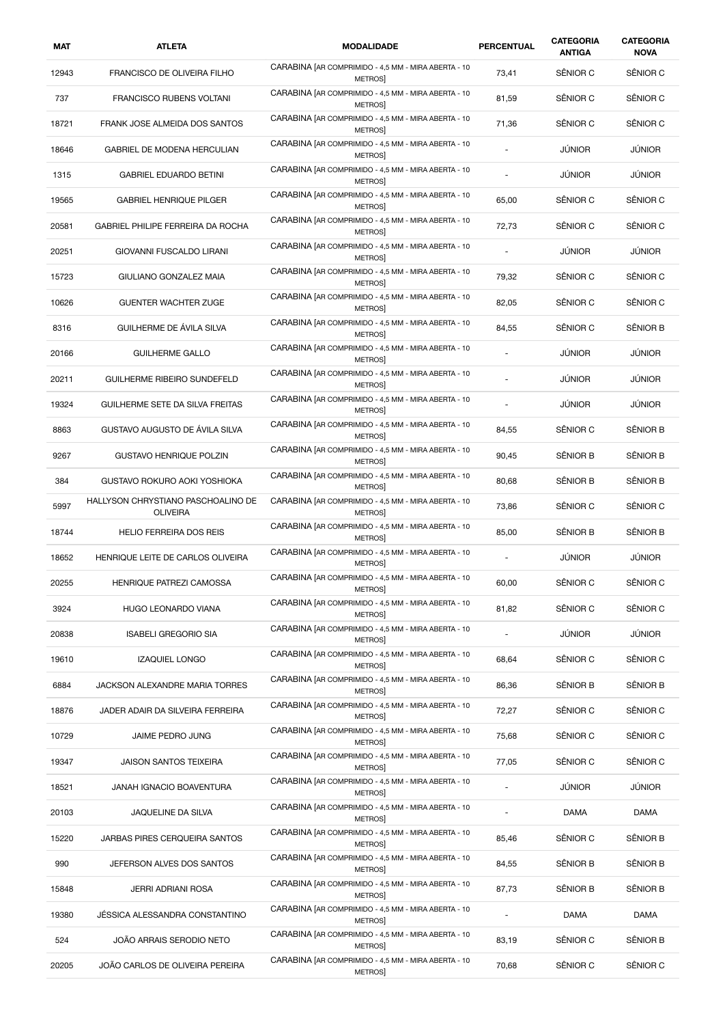| MAT   | <b>ATLETA</b>                                         | <b>MODALIDADE</b>                                                    | PERCENTUAL               | <b>CATEGORIA</b><br><b>ANTIGA</b> | <b>CATEGORIA</b><br><b>NOVA</b> |
|-------|-------------------------------------------------------|----------------------------------------------------------------------|--------------------------|-----------------------------------|---------------------------------|
| 12943 | FRANCISCO DE OLIVEIRA FILHO                           | CARABINA [AR COMPRIMIDO - 4,5 MM - MIRA ABERTA - 10<br><b>METROS</b> | 73,41                    | SÊNIOR C                          | SÊNIOR C                        |
| 737   | <b>FRANCISCO RUBENS VOLTANI</b>                       | CARABINA [AR COMPRIMIDO - 4,5 MM - MIRA ABERTA - 10<br>METROS        | 81,59                    | SÊNIOR C                          | SÊNIOR C                        |
| 18721 | FRANK JOSE ALMEIDA DOS SANTOS                         | CARABINA [AR COMPRIMIDO - 4,5 MM - MIRA ABERTA - 10<br>METROS        | 71,36                    | SÊNIOR C                          | SÊNIOR C                        |
| 18646 | GABRIEL DE MODENA HERCULIAN                           | CARABINA [AR COMPRIMIDO - 4,5 MM - MIRA ABERTA - 10<br>METROS        | ÷.                       | <b>JÚNIOR</b>                     | <b>JÚNIOR</b>                   |
| 1315  | <b>GABRIEL EDUARDO BETINI</b>                         | CARABINA [AR COMPRIMIDO - 4,5 MM - MIRA ABERTA - 10<br>METROS        | $\overline{\phantom{a}}$ | JÚNIOR                            | <b>JÚNIOR</b>                   |
| 19565 | <b>GABRIEL HENRIQUE PILGER</b>                        | CARABINA [AR COMPRIMIDO - 4,5 MM - MIRA ABERTA - 10<br>METROS        | 65,00                    | SÊNIOR C                          | SÊNIOR C                        |
| 20581 | GABRIEL PHILIPE FERREIRA DA ROCHA                     | CARABINA [AR COMPRIMIDO - 4,5 MM - MIRA ABERTA - 10<br>METROS        | 72,73                    | SÊNIOR C                          | SÊNIOR C                        |
| 20251 | GIOVANNI FUSCALDO LIRANI                              | CARABINA [AR COMPRIMIDO - 4,5 MM - MIRA ABERTA - 10<br><b>METROS</b> |                          | <b>JÚNIOR</b>                     | JÚNIOR                          |
| 15723 | GIULIANO GONZALEZ MAIA                                | CARABINA [AR COMPRIMIDO - 4,5 MM - MIRA ABERTA - 10<br><b>METROS</b> | 79,32                    | SÊNIOR C                          | SÊNIOR C                        |
| 10626 | GUENTER WACHTER ZUGE                                  | CARABINA [AR COMPRIMIDO - 4,5 MM - MIRA ABERTA - 10<br><b>METROS</b> | 82,05                    | SÊNIOR C                          | SÊNIOR C                        |
| 8316  | GUILHERME DE ÁVILA SILVA                              | CARABINA [AR COMPRIMIDO - 4,5 MM - MIRA ABERTA - 10<br><b>METROS</b> | 84,55                    | SÊNIOR C                          | SÊNIOR B                        |
| 20166 | <b>GUILHERME GALLO</b>                                | CARABINA [AR COMPRIMIDO - 4,5 MM - MIRA ABERTA - 10<br><b>METROS</b> | ÷                        | <b>JÚNIOR</b>                     | JÚNIOR                          |
| 20211 | <b>GUILHERME RIBEIRO SUNDEFELD</b>                    | CARABINA [AR COMPRIMIDO - 4,5 MM - MIRA ABERTA - 10<br><b>METROS</b> |                          | JÚNIOR                            | <b>JÚNIOR</b>                   |
| 19324 | GUILHERME SETE DA SILVA FREITAS                       | CARABINA [AR COMPRIMIDO - 4,5 MM - MIRA ABERTA - 10<br>METROS        |                          | JÚNIOR                            | JÚNIOR                          |
| 8863  | GUSTAVO AUGUSTO DE ÁVILA SILVA                        | CARABINA [AR COMPRIMIDO - 4,5 MM - MIRA ABERTA - 10<br><b>METROS</b> | 84,55                    | SÊNIOR C                          | SÊNIOR B                        |
| 9267  | <b>GUSTAVO HENRIQUE POLZIN</b>                        | CARABINA [AR COMPRIMIDO - 4,5 MM - MIRA ABERTA - 10<br><b>METROS</b> | 90,45                    | SÊNIOR B                          | SÊNIOR B                        |
| 384   | GUSTAVO ROKURO AOKI YOSHIOKA                          | CARABINA [AR COMPRIMIDO - 4,5 MM - MIRA ABERTA - 10<br>METROS        | 80,68                    | SÊNIOR B                          | SÊNIOR B                        |
| 5997  | HALLYSON CHRYSTIANO PASCHOALINO DE<br><b>OLIVEIRA</b> | CARABINA [AR COMPRIMIDO - 4,5 MM - MIRA ABERTA - 10<br>METROS        | 73,86                    | SÊNIOR C                          | SÊNIOR C                        |
| 18744 | <b>HELIO FERREIRA DOS REIS</b>                        | CARABINA [AR COMPRIMIDO - 4,5 MM - MIRA ABERTA - 10<br><b>METROS</b> | 85,00                    | SÊNIOR B                          | SÊNIOR B                        |
| 18652 | HENRIQUE LEITE DE CARLOS OLIVEIRA                     | CARABINA [AR COMPRIMIDO - 4,5 MM - MIRA ABERTA - 10<br><b>METROS</b> | ä,                       | <b>JÚNIOR</b>                     | JÚNIOR                          |
| 20255 | HENRIQUE PATREZI CAMOSSA                              | CARABINA [AR COMPRIMIDO - 4,5 MM - MIRA ABERTA - 10<br>METROS        | 60,00                    | SÊNIOR C                          | SÊNIOR C                        |
| 3924  | HUGO LEONARDO VIANA                                   | CARABINA [AR COMPRIMIDO - 4,5 MM - MIRA ABERTA - 10<br>METROS]       | 81,82                    | SÊNIOR C                          | SÊNIOR C                        |
| 20838 | <b>ISABELI GREGORIO SIA</b>                           | CARABINA [AR COMPRIMIDO - 4,5 MM - MIRA ABERTA - 10<br>METROS]       | $\sim$                   | JÚNIOR                            | JÚNIOR                          |
| 19610 | <b>IZAQUIEL LONGO</b>                                 | CARABINA [AR COMPRIMIDO - 4,5 MM - MIRA ABERTA - 10<br>METROS        | 68,64                    | SÊNIOR C                          | SÊNIOR C                        |
| 6884  | JACKSON ALEXANDRE MARIA TORRES                        | CARABINA [AR COMPRIMIDO - 4,5 MM - MIRA ABERTA - 10<br><b>METROS</b> | 86,36                    | SÊNIOR B                          | SÊNIOR B                        |
| 18876 | JADER ADAIR DA SILVEIRA FERREIRA                      | CARABINA [AR COMPRIMIDO - 4,5 MM - MIRA ABERTA - 10<br><b>METROS</b> | 72,27                    | SÊNIOR C                          | SÊNIOR C                        |
| 10729 | JAIME PEDRO JUNG                                      | CARABINA [AR COMPRIMIDO - 4,5 MM - MIRA ABERTA - 10<br>METROS        | 75,68                    | SÊNIOR C                          | SÊNIOR C                        |
| 19347 | <b>JAISON SANTOS TEIXEIRA</b>                         | CARABINA [AR COMPRIMIDO - 4,5 MM - MIRA ABERTA - 10<br>METROS        | 77,05                    | SÊNIOR C                          | SÊNIOR C                        |
| 18521 | JANAH IGNACIO BOAVENTURA                              | CARABINA [AR COMPRIMIDO - 4,5 MM - MIRA ABERTA - 10<br>METROS        |                          | <b>JÚNIOR</b>                     | JÚNIOR                          |
| 20103 | JAQUELINE DA SILVA                                    | CARABINA [AR COMPRIMIDO - 4,5 MM - MIRA ABERTA - 10<br>METROS        |                          | <b>DAMA</b>                       | DAMA                            |
| 15220 | JARBAS PIRES CERQUEIRA SANTOS                         | CARABINA [AR COMPRIMIDO - 4,5 MM - MIRA ABERTA - 10<br>METROS]       | 85,46                    | SÊNIOR C                          | SÊNIOR B                        |
| 990   | JEFERSON ALVES DOS SANTOS                             | CARABINA [AR COMPRIMIDO - 4,5 MM - MIRA ABERTA - 10<br>METROS        | 84,55                    | SÊNIOR B                          | SÊNIOR B                        |
| 15848 | JERRI ADRIANI ROSA                                    | CARABINA [AR COMPRIMIDO - 4,5 MM - MIRA ABERTA - 10<br><b>METROS</b> | 87,73                    | SÊNIOR B                          | SÊNIOR B                        |
| 19380 | JÉSSICA ALESSANDRA CONSTANTINO                        | CARABINA [AR COMPRIMIDO - 4,5 MM - MIRA ABERTA - 10<br>METROS]       | ÷,                       | DAMA                              | DAMA                            |
| 524   | JOÃO ARRAIS SERODIO NETO                              | CARABINA [AR COMPRIMIDO - 4,5 MM - MIRA ABERTA - 10<br>METROS        | 83,19                    | SÊNIOR C                          | SÊNIOR B                        |
| 20205 | JOÃO CARLOS DE OLIVEIRA PEREIRA                       | CARABINA [AR COMPRIMIDO - 4,5 MM - MIRA ABERTA - 10<br><b>METROS</b> | 70,68                    | SÊNIOR C                          | SÊNIOR C                        |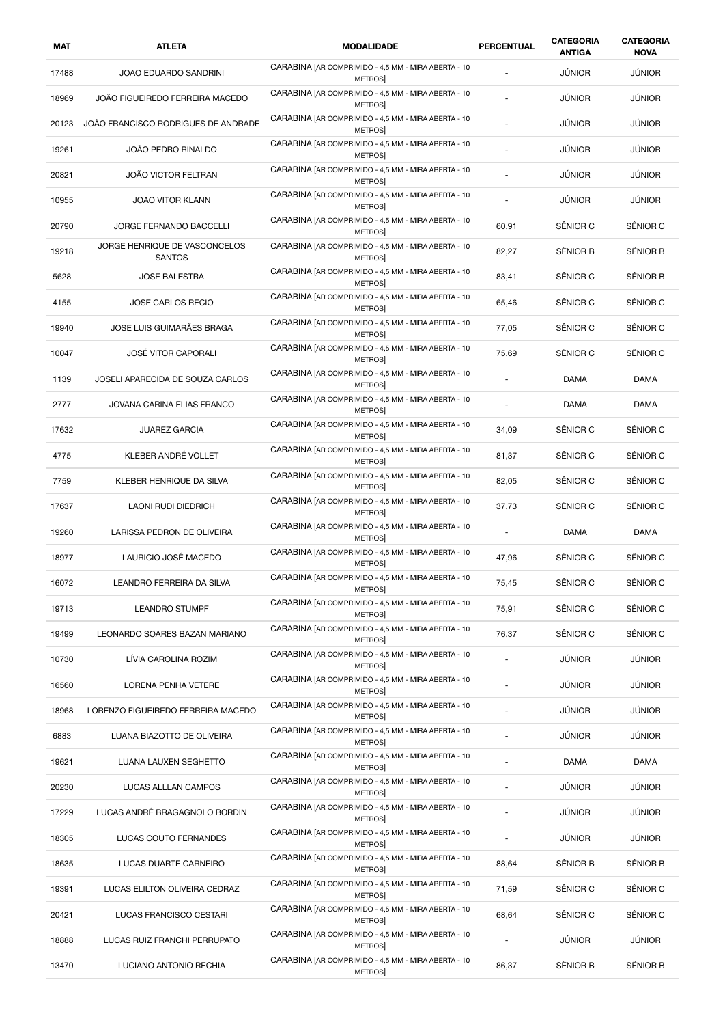| MAT   | <b>ATLETA</b>                                  | <b>MODALIDADE</b>                                                    | PERCENTUAL     | CATEGORIA<br><b>ANTIGA</b> | <b>CATEGORIA</b><br><b>NOVA</b> |
|-------|------------------------------------------------|----------------------------------------------------------------------|----------------|----------------------------|---------------------------------|
| 17488 | JOAO EDUARDO SANDRINI                          | CARABINA [AR COMPRIMIDO - 4,5 MM - MIRA ABERTA - 10<br><b>METROS</b> |                | JÚNIOR                     | <b>JÚNIOR</b>                   |
| 18969 | JOÃO FIGUEIREDO FERREIRA MACEDO                | CARABINA [AR COMPRIMIDO - 4,5 MM - MIRA ABERTA - 10<br>METROS        |                | JÚNIOR                     | <b>JÚNIOR</b>                   |
| 20123 | JOÃO FRANCISCO RODRIGUES DE ANDRADE            | CARABINA [AR COMPRIMIDO - 4,5 MM - MIRA ABERTA - 10<br><b>METROS</b> |                | <b>JÚNIOR</b>              | JÚNIOR                          |
| 19261 | JOÃO PEDRO RINALDO                             | CARABINA [AR COMPRIMIDO - 4,5 MM - MIRA ABERTA - 10<br><b>METROS</b> |                | <b>JÚNIOR</b>              | JÚNIOR                          |
| 20821 | <b>JOÃO VICTOR FELTRAN</b>                     | CARABINA [AR COMPRIMIDO - 4,5 MM - MIRA ABERTA - 10<br><b>METROS</b> |                | <b>JÚNIOR</b>              | <b>JÚNIOR</b>                   |
| 10955 | JOAO VITOR KLANN                               | CARABINA [AR COMPRIMIDO - 4,5 MM - MIRA ABERTA - 10<br>METROS        | ÷,             | <b>JÚNIOR</b>              | <b>JÚNIOR</b>                   |
| 20790 | JORGE FERNANDO BACCELLI                        | CARABINA [AR COMPRIMIDO - 4,5 MM - MIRA ABERTA - 10<br>METROS        | 60,91          | SÊNIOR C                   | SÊNIOR C                        |
| 19218 | JORGE HENRIQUE DE VASCONCELOS<br><b>SANTOS</b> | CARABINA [AR COMPRIMIDO - 4,5 MM - MIRA ABERTA - 10<br>METROS        | 82,27          | SÊNIOR B                   | SÊNIOR B                        |
| 5628  | <b>JOSE BALESTRA</b>                           | CARABINA [AR COMPRIMIDO - 4,5 MM - MIRA ABERTA - 10<br><b>METROS</b> | 83,41          | SÊNIOR C                   | SÊNIOR B                        |
| 4155  | JOSE CARLOS RECIO                              | CARABINA [AR COMPRIMIDO - 4,5 MM - MIRA ABERTA - 10<br>METROS        | 65,46          | SÊNIOR C                   | SÊNIOR C                        |
| 19940 | JOSE LUIS GUIMARÃES BRAGA                      | CARABINA [AR COMPRIMIDO - 4,5 MM - MIRA ABERTA - 10<br><b>METROS</b> | 77,05          | SÊNIOR C                   | SÊNIOR C                        |
| 10047 | <b>JOSÉ VITOR CAPORALI</b>                     | CARABINA [AR COMPRIMIDO - 4,5 MM - MIRA ABERTA - 10<br>METROS        | 75,69          | SÊNIOR C                   | SÊNIOR C                        |
| 1139  | JOSELI APARECIDA DE SOUZA CARLOS               | CARABINA [AR COMPRIMIDO - 4,5 MM - MIRA ABERTA - 10<br>METROS        | $\overline{a}$ | <b>DAMA</b>                | DAMA                            |
| 2777  | JOVANA CARINA ELIAS FRANCO                     | CARABINA [AR COMPRIMIDO - 4,5 MM - MIRA ABERTA - 10<br>METROS        |                | <b>DAMA</b>                | <b>DAMA</b>                     |
| 17632 | <b>JUAREZ GARCIA</b>                           | CARABINA [AR COMPRIMIDO - 4,5 MM - MIRA ABERTA - 10<br>METROS        | 34,09          | SÊNIOR C                   | SÊNIOR C                        |
| 4775  | KLEBER ANDRÉ VOLLET                            | CARABINA [AR COMPRIMIDO - 4,5 MM - MIRA ABERTA - 10<br>METROS        | 81,37          | SÊNIOR C                   | SÊNIOR C                        |
| 7759  | KLEBER HENRIQUE DA SILVA                       | CARABINA [AR COMPRIMIDO - 4,5 MM - MIRA ABERTA - 10<br>METROS        | 82,05          | SÊNIOR C                   | SÊNIOR C                        |
| 17637 | LAONI RUDI DIEDRICH                            | CARABINA [AR COMPRIMIDO - 4,5 MM - MIRA ABERTA - 10<br>METROS        | 37,73          | SÊNIOR C                   | SÊNIOR C                        |
| 19260 | LARISSA PEDRON DE OLIVEIRA                     | CARABINA [AR COMPRIMIDO - 4,5 MM - MIRA ABERTA - 10<br>METROS        | ٠              | <b>DAMA</b>                | <b>DAMA</b>                     |
| 18977 | LAURICIO JOSÉ MACEDO                           | CARABINA [AR COMPRIMIDO - 4,5 MM - MIRA ABERTA - 10<br><b>METROS</b> | 47,96          | SÊNIOR C                   | SÊNIOR C                        |
| 16072 | LEANDRO FERREIRA DA SILVA                      | CARABINA [AR COMPRIMIDO - 4,5 MM - MIRA ABERTA - 10<br><b>METROS</b> | 75,45          | SÊNIOR C                   | SÊNIOR C                        |
| 19713 | <b>LEANDRO STUMPF</b>                          | CARABINA [AR COMPRIMIDO - 4,5 MM - MIRA ABERTA - 10<br><b>METROS</b> | 75,91          | SÊNIOR C                   | SÊNIOR C                        |
| 19499 | LEONARDO SOARES BAZAN MARIANO                  | CARABINA [AR COMPRIMIDO - 4,5 MM - MIRA ABERTA - 10<br>METROS        | 76,37          | SÊNIOR C                   | SÊNIOR C                        |
| 10730 | LÍVIA CAROLINA ROZIM                           | CARABINA [AR COMPRIMIDO - 4,5 MM - MIRA ABERTA - 10<br><b>METROS</b> |                | JÚNIOR                     | <b>JÚNIOR</b>                   |
| 16560 | LORENA PENHA VETERE                            | CARABINA [AR COMPRIMIDO - 4,5 MM - MIRA ABERTA - 10<br>METROS        |                | <b>JÚNIOR</b>              | JÚNIOR                          |
| 18968 | LORENZO FIGUEIREDO FERREIRA MACEDO             | CARABINA [AR COMPRIMIDO - 4,5 MM - MIRA ABERTA - 10<br><b>METROS</b> |                | <b>JÚNIOR</b>              | <b>JÚNIOR</b>                   |
| 6883  | LUANA BIAZOTTO DE OLIVEIRA                     | CARABINA [AR COMPRIMIDO - 4,5 MM - MIRA ABERTA - 10<br>METROS        |                | <b>JÚNIOR</b>              | <b>JÚNIOR</b>                   |
| 19621 | LUANA LAUXEN SEGHETTO                          | CARABINA [AR COMPRIMIDO - 4,5 MM - MIRA ABERTA - 10<br>METROS        |                | DAMA                       | DAMA                            |
| 20230 | LUCAS ALLLAN CAMPOS                            | CARABINA [AR COMPRIMIDO - 4,5 MM - MIRA ABERTA - 10<br>METROS        |                | JÚNIOR                     | JÚNIOR                          |
| 17229 | LUCAS ANDRÉ BRAGAGNOLO BORDIN                  | CARABINA [AR COMPRIMIDO - 4,5 MM - MIRA ABERTA - 10<br>METROS        |                | <b>JÚNIOR</b>              | <b>JÚNIOR</b>                   |
| 18305 | LUCAS COUTO FERNANDES                          | CARABINA [AR COMPRIMIDO - 4,5 MM - MIRA ABERTA - 10<br>METROS        | $\overline{a}$ | JÚNIOR                     | JÚNIOR                          |
| 18635 | LUCAS DUARTE CARNEIRO                          | CARABINA [AR COMPRIMIDO - 4,5 MM - MIRA ABERTA - 10<br>METROS        | 88,64          | SÊNIOR B                   | SÊNIOR B                        |
| 19391 | LUCAS ELILTON OLIVEIRA CEDRAZ                  | CARABINA [AR COMPRIMIDO - 4,5 MM - MIRA ABERTA - 10<br>METROS        | 71,59          | SÊNIOR C                   | SÊNIOR C                        |
| 20421 | LUCAS FRANCISCO CESTARI                        | CARABINA [AR COMPRIMIDO - 4,5 MM - MIRA ABERTA - 10<br>METROS        | 68,64          | SÊNIOR C                   | SÊNIOR C                        |
| 18888 | LUCAS RUIZ FRANCHI PERRUPATO                   | CARABINA [AR COMPRIMIDO - 4,5 MM - MIRA ABERTA - 10<br>METROS        | $\overline{a}$ | JÚNIOR                     | JÚNIOR                          |
| 13470 | LUCIANO ANTONIO RECHIA                         | CARABINA [AR COMPRIMIDO - 4,5 MM - MIRA ABERTA - 10<br>METROS]       | 86,37          | SÊNIOR B                   | SÊNIOR B                        |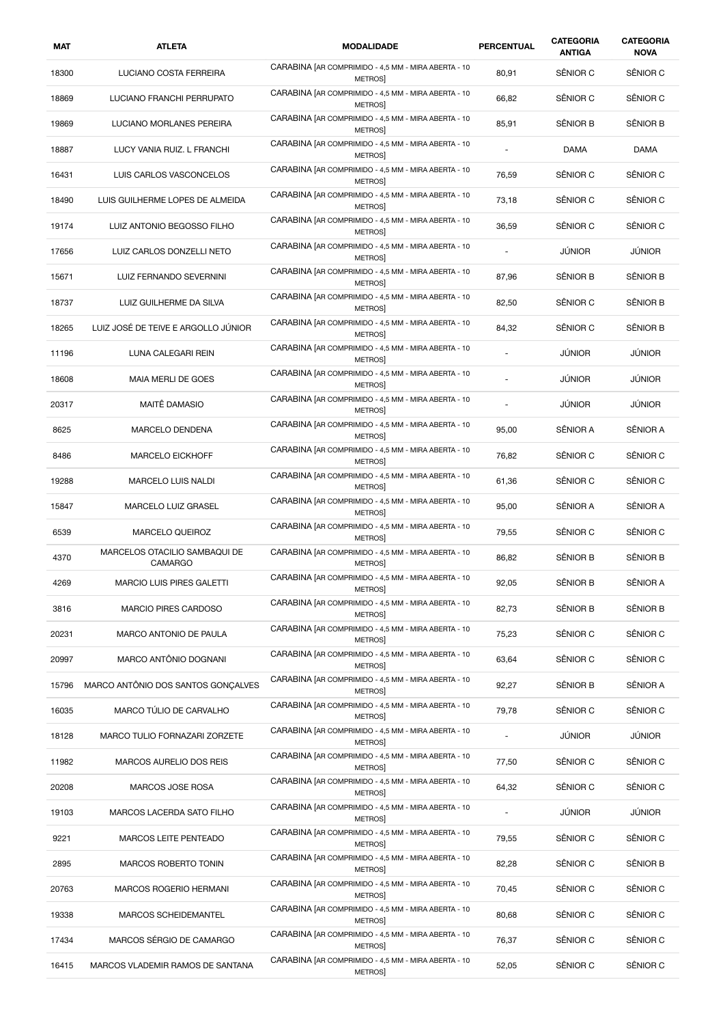| MAT   | <b>ATLETA</b>                                   | <b>MODALIDADE</b>                                                    | PERCENTUAL | CATEGORIA<br><b>ANTIGA</b> | CATEGORIA<br><b>NOVA</b> |
|-------|-------------------------------------------------|----------------------------------------------------------------------|------------|----------------------------|--------------------------|
| 18300 | LUCIANO COSTA FERREIRA                          | CARABINA [AR COMPRIMIDO - 4,5 MM - MIRA ABERTA - 10<br><b>METROS</b> | 80,91      | SÊNIOR C                   | SÊNIOR C                 |
| 18869 | LUCIANO FRANCHI PERRUPATO                       | CARABINA [AR COMPRIMIDO - 4,5 MM - MIRA ABERTA - 10<br>METROS        | 66,82      | SÊNIOR C                   | SÊNIOR C                 |
| 19869 | LUCIANO MORLANES PEREIRA                        | CARABINA [AR COMPRIMIDO - 4,5 MM - MIRA ABERTA - 10<br>METROS        | 85,91      | SÊNIOR B                   | SÊNIOR B                 |
| 18887 | LUCY VANIA RUIZ. L FRANCHI                      | CARABINA [AR COMPRIMIDO - 4,5 MM - MIRA ABERTA - 10<br><b>METROS</b> |            | <b>DAMA</b>                | DAMA                     |
| 16431 | LUIS CARLOS VASCONCELOS                         | CARABINA [AR COMPRIMIDO - 4,5 MM - MIRA ABERTA - 10<br><b>METROS</b> | 76,59      | SÊNIOR C                   | SÊNIOR C                 |
| 18490 | LUIS GUILHERME LOPES DE ALMEIDA                 | CARABINA [AR COMPRIMIDO - 4,5 MM - MIRA ABERTA - 10<br>METROS        | 73,18      | SÊNIOR C                   | SÊNIOR C                 |
| 19174 | LUIZ ANTONIO BEGOSSO FILHO                      | CARABINA [AR COMPRIMIDO - 4,5 MM - MIRA ABERTA - 10<br>METROS        | 36,59      | SÊNIOR C                   | SÊNIOR C                 |
| 17656 | LUIZ CARLOS DONZELLI NETO                       | CARABINA [AR COMPRIMIDO - 4,5 MM - MIRA ABERTA - 10<br><b>METROS</b> |            | <b>JÚNIOR</b>              | JÚNIOR                   |
| 15671 | LUIZ FERNANDO SEVERNINI                         | CARABINA [AR COMPRIMIDO - 4,5 MM - MIRA ABERTA - 10<br>METROS        | 87,96      | SÊNIOR B                   | SÊNIOR B                 |
| 18737 | LUIZ GUILHERME DA SILVA                         | CARABINA [AR COMPRIMIDO - 4,5 MM - MIRA ABERTA - 10<br>METROS        | 82,50      | SÊNIOR C                   | SÊNIOR B                 |
| 18265 | LUIZ JOSÉ DE TEIVE E ARGOLLO JÚNIOR             | CARABINA [AR COMPRIMIDO - 4,5 MM - MIRA ABERTA - 10<br>METROS        | 84,32      | SÊNIOR C                   | SÊNIOR B                 |
| 11196 | LUNA CALEGARI REIN                              | CARABINA [AR COMPRIMIDO - 4,5 MM - MIRA ABERTA - 10<br><b>METROS</b> | ä,         | <b>JÚNIOR</b>              | <b>JÚNIOR</b>            |
| 18608 | MAIA MERLI DE GOES                              | CARABINA [AR COMPRIMIDO - 4,5 MM - MIRA ABERTA - 10<br>METROS        |            | <b>JÚNIOR</b>              | JÚNIOR                   |
| 20317 | MAITÊ DAMASIO                                   | CARABINA [AR COMPRIMIDO - 4,5 MM - MIRA ABERTA - 10<br>METROS        |            | JÚNIOR                     | <b>JÚNIOR</b>            |
| 8625  | MARCELO DENDENA                                 | CARABINA [AR COMPRIMIDO - 4,5 MM - MIRA ABERTA - 10<br>METROS        | 95,00      | SÊNIOR A                   | SÊNIOR A                 |
| 8486  | <b>MARCELO EICKHOFF</b>                         | CARABINA [AR COMPRIMIDO - 4,5 MM - MIRA ABERTA - 10<br>METROS]       | 76,82      | SÊNIOR C                   | SÊNIOR C                 |
| 19288 | <b>MARCELO LUIS NALDI</b>                       | CARABINA [AR COMPRIMIDO - 4,5 MM - MIRA ABERTA - 10<br>METROS        | 61,36      | SÊNIOR C                   | SÊNIOR C                 |
| 15847 | MARCELO LUIZ GRASEL                             | CARABINA [AR COMPRIMIDO - 4,5 MM - MIRA ABERTA - 10<br>METROS        | 95,00      | SÊNIOR A                   | SÊNIOR A                 |
| 6539  | <b>MARCELO QUEIROZ</b>                          | CARABINA [AR COMPRIMIDO - 4,5 MM - MIRA ABERTA - 10<br><b>METROS</b> | 79,55      | SÊNIOR C                   | SÊNIOR C                 |
| 4370  | MARCELOS OTACILIO SAMBAQUI DE<br><b>CAMARGO</b> | CARABINA [AR COMPRIMIDO - 4,5 MM - MIRA ABERTA - 10<br><b>METROS</b> | 86,82      | SÊNIOR B                   | SÊNIOR B                 |
| 4269  | MARCIO LUIS PIRES GALETTI                       | CARABINA [AR COMPRIMIDO - 4,5 MM - MIRA ABERTA - 10<br><b>METROS</b> | 92,05      | SÊNIOR B                   | SÊNIOR A                 |
| 3816  | <b>MARCIO PIRES CARDOSO</b>                     | CARABINA [AR COMPRIMIDO - 4,5 MM - MIRA ABERTA - 10<br>METROS]       | 82,73      | SÊNIOR B                   | SÊNIOR B                 |
| 20231 | MARCO ANTONIO DE PAULA                          | CARABINA [AR COMPRIMIDO - 4,5 MM - MIRA ABERTA - 10<br><b>METROS</b> | 75,23      | SÊNIOR C                   | SÊNIOR C                 |
| 20997 | MARCO ANTÔNIO DOGNANI                           | CARABINA [AR COMPRIMIDO - 4,5 MM - MIRA ABERTA - 10<br>METROS        | 63,64      | SÊNIOR C                   | SÊNIOR C                 |
| 15796 | MARCO ANTÔNIO DOS SANTOS GONÇALVES              | CARABINA [AR COMPRIMIDO - 4,5 MM - MIRA ABERTA - 10<br><b>METROS</b> | 92,27      | SÊNIOR B                   | SÊNIOR A                 |
| 16035 | MARCO TÚLIO DE CARVALHO                         | CARABINA [AR COMPRIMIDO - 4,5 MM - MIRA ABERTA - 10<br>METROS]       | 79,78      | SÊNIOR C                   | SÊNIOR C                 |
| 18128 | MARCO TULIO FORNAZARI ZORZETE                   | CARABINA [AR COMPRIMIDO - 4,5 MM - MIRA ABERTA - 10<br><b>METROS</b> |            | JÚNIOR                     | JÚNIOR                   |
| 11982 | MARCOS AURELIO DOS REIS                         | CARABINA [AR COMPRIMIDO - 4,5 MM - MIRA ABERTA - 10<br>METROS        | 77,50      | SÊNIOR C                   | SÊNIOR C                 |
| 20208 | MARCOS JOSE ROSA                                | CARABINA [AR COMPRIMIDO - 4,5 MM - MIRA ABERTA - 10<br>METROS        | 64,32      | SÊNIOR C                   | SÊNIOR C                 |
| 19103 | MARCOS LACERDA SATO FILHO                       | CARABINA [AR COMPRIMIDO - 4,5 MM - MIRA ABERTA - 10<br>METROS        |            | JÚNIOR                     | JÚNIOR                   |
| 9221  | MARCOS LEITE PENTEADO                           | CARABINA [AR COMPRIMIDO - 4,5 MM - MIRA ABERTA - 10<br>METROS        | 79,55      | SÊNIOR C                   | SÊNIOR C                 |
| 2895  | MARCOS ROBERTO TONIN                            | CARABINA [AR COMPRIMIDO - 4,5 MM - MIRA ABERTA - 10<br>METROS        | 82,28      | SÊNIOR C                   | SÊNIOR B                 |
| 20763 | MARCOS ROGERIO HERMANI                          | CARABINA [AR COMPRIMIDO - 4,5 MM - MIRA ABERTA - 10<br><b>METROS</b> | 70,45      | SÊNIOR C                   | SÊNIOR C                 |
| 19338 | MARCOS SCHEIDEMANTEL                            | CARABINA [AR COMPRIMIDO - 4,5 MM - MIRA ABERTA - 10<br>METROS]       | 80,68      | SÊNIOR C                   | SÊNIOR C                 |
| 17434 | MARCOS SÉRGIO DE CAMARGO                        | CARABINA [AR COMPRIMIDO - 4,5 MM - MIRA ABERTA - 10<br>METROS        | 76,37      | SÊNIOR C                   | SÊNIOR C                 |
| 16415 | MARCOS VLADEMIR RAMOS DE SANTANA                | CARABINA [AR COMPRIMIDO - 4,5 MM - MIRA ABERTA - 10<br>METROS        | 52,05      | SÊNIOR C                   | SÊNIOR C                 |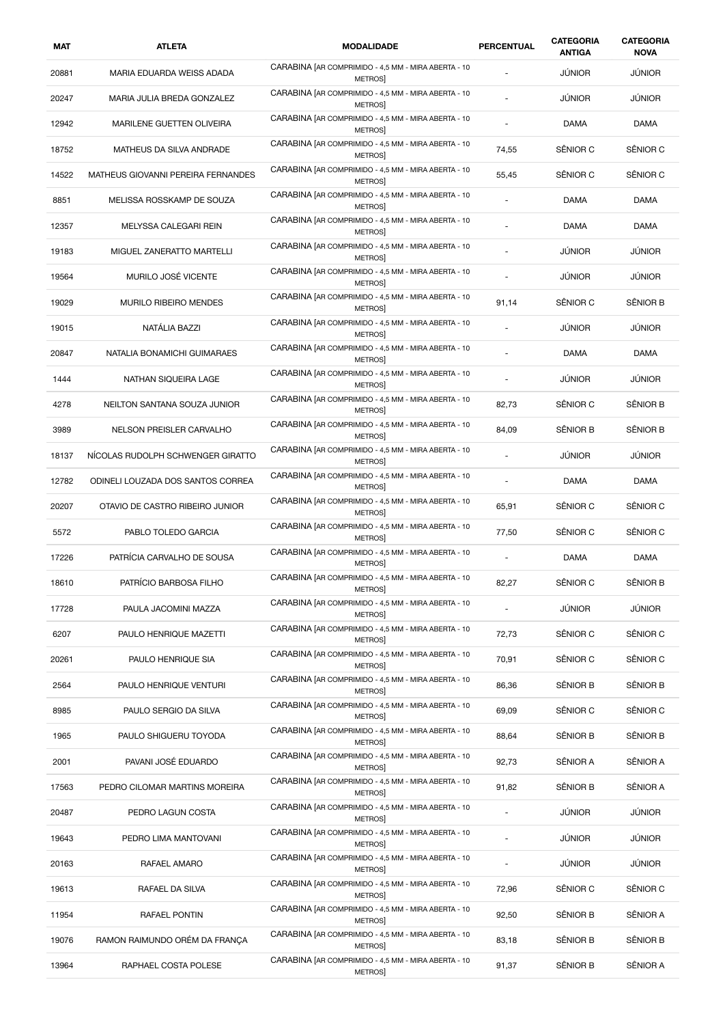| MAT   | <b>ATLETA</b>                      | <b>MODALIDADE</b>                                                    | PERCENTUAL               | CATEGORIA<br><b>ANTIGA</b> | CATEGORIA<br><b>NOVA</b> |
|-------|------------------------------------|----------------------------------------------------------------------|--------------------------|----------------------------|--------------------------|
| 20881 | MARIA EDUARDA WEISS ADADA          | CARABINA [AR COMPRIMIDO - 4,5 MM - MIRA ABERTA - 10<br>METROS        |                          | <b>JÚNIOR</b>              | <b>JÚNIOR</b>            |
| 20247 | MARIA JULIA BREDA GONZALEZ         | CARABINA [AR COMPRIMIDO - 4,5 MM - MIRA ABERTA - 10<br>METROS        |                          | JÚNIOR                     | <b>JÚNIOR</b>            |
| 12942 | MARILENE GUETTEN OLIVEIRA          | CARABINA [AR COMPRIMIDO - 4,5 MM - MIRA ABERTA - 10<br>METROS        |                          | DAMA                       | DAMA                     |
| 18752 | MATHEUS DA SILVA ANDRADE           | CARABINA [AR COMPRIMIDO - 4,5 MM - MIRA ABERTA - 10<br>METROS        | 74,55                    | SÊNIOR C                   | SÊNIOR C                 |
| 14522 | MATHEUS GIOVANNI PEREIRA FERNANDES | CARABINA [AR COMPRIMIDO - 4,5 MM - MIRA ABERTA - 10<br>METROS        | 55,45                    | SÊNIOR C                   | SÊNIOR C                 |
| 8851  | MELISSA ROSSKAMP DE SOUZA          | CARABINA [AR COMPRIMIDO - 4,5 MM - MIRA ABERTA - 10<br><b>METROS</b> |                          | <b>DAMA</b>                | DAMA                     |
| 12357 | MELYSSA CALEGARI REIN              | CARABINA [AR COMPRIMIDO - 4,5 MM - MIRA ABERTA - 10<br>METROS        |                          | DAMA                       | DAMA                     |
| 19183 | MIGUEL ZANERATTO MARTELLI          | CARABINA [AR COMPRIMIDO - 4,5 MM - MIRA ABERTA - 10<br><b>METROS</b> |                          | JÚNIOR                     | JÚNIOR                   |
| 19564 | MURILO JOSÉ VICENTE                | CARABINA [AR COMPRIMIDO - 4,5 MM - MIRA ABERTA - 10<br>METROS        |                          | JÚNIOR                     | JÚNIOR                   |
| 19029 | <b>MURILO RIBEIRO MENDES</b>       | CARABINA [AR COMPRIMIDO - 4,5 MM - MIRA ABERTA - 10<br>METROS        | 91,14                    | SÊNIOR C                   | SÊNIOR B                 |
| 19015 | NATÁLIA BAZZI                      | CARABINA [AR COMPRIMIDO - 4,5 MM - MIRA ABERTA - 10<br>METROS        | ÷,                       | JÚNIOR                     | <b>JÚNIOR</b>            |
| 20847 | NATALIA BONAMICHI GUIMARAES        | CARABINA [AR COMPRIMIDO - 4,5 MM - MIRA ABERTA - 10<br><b>METROS</b> |                          | DAMA                       | DAMA                     |
| 1444  | NATHAN SIQUEIRA LAGE               | CARABINA [AR COMPRIMIDO - 4,5 MM - MIRA ABERTA - 10<br>METROS        | ÷,                       | JÚNIOR                     | JÚNIOR                   |
| 4278  | NEILTON SANTANA SOUZA JUNIOR       | CARABINA [AR COMPRIMIDO - 4,5 MM - MIRA ABERTA - 10<br>METROS        | 82,73                    | SÊNIOR C                   | SÊNIOR B                 |
| 3989  | NELSON PREISLER CARVALHO           | CARABINA [AR COMPRIMIDO - 4,5 MM - MIRA ABERTA - 10<br><b>METROS</b> | 84,09                    | SÊNIOR B                   | SÊNIOR B                 |
| 18137 | NICOLAS RUDOLPH SCHWENGER GIRATTO  | CARABINA [AR COMPRIMIDO - 4,5 MM - MIRA ABERTA - 10<br>METROS]       |                          | JÚNIOR                     | <b>JÚNIOR</b>            |
| 12782 | ODINELI LOUZADA DOS SANTOS CORREA  | CARABINA [AR COMPRIMIDO - 4,5 MM - MIRA ABERTA - 10<br>METROS        | $\overline{\phantom{a}}$ | <b>DAMA</b>                | <b>DAMA</b>              |
| 20207 | OTAVIO DE CASTRO RIBEIRO JUNIOR    | CARABINA [AR COMPRIMIDO - 4,5 MM - MIRA ABERTA - 10<br>METROS        | 65,91                    | SÊNIOR C                   | SÊNIOR C                 |
| 5572  | PABLO TOLEDO GARCIA                | CARABINA [AR COMPRIMIDO - 4,5 MM - MIRA ABERTA - 10<br>METROS        | 77,50                    | SÊNIOR C                   | SÊNIOR C                 |
| 17226 | PATRÍCIA CARVALHO DE SOUSA         | CARABINA [AR COMPRIMIDO - 4,5 MM - MIRA ABERTA - 10<br><b>METROS</b> | ×.                       | DAMA                       | DAMA                     |
| 18610 | PATRÍCIO BARBOSA FILHO             | CARABINA [AR COMPRIMIDO - 4,5 MM - MIRA ABERTA - 10<br><b>METROS</b> | 82,27                    | SÊNIOR C                   | SÊNIOR B                 |
| 17728 | PAULA JACOMINI MAZZA               | CARABINA [AR COMPRIMIDO - 4,5 MM - MIRA ABERTA - 10<br><b>METROS</b> |                          | JÚNIOR                     | JÚNIOR                   |
| 6207  | PAULO HENRIQUE MAZETTI             | CARABINA [AR COMPRIMIDO - 4,5 MM - MIRA ABERTA - 10<br>METROS        | 72,73                    | SÊNIOR C                   | SÊNIOR C                 |
| 20261 | PAULO HENRIQUE SIA                 | CARABINA [AR COMPRIMIDO - 4,5 MM - MIRA ABERTA - 10<br>METROS        | 70,91                    | SÊNIOR C                   | SÊNIOR C                 |
| 2564  | PAULO HENRIQUE VENTURI             | CARABINA [AR COMPRIMIDO - 4,5 MM - MIRA ABERTA - 10<br><b>METROS</b> | 86,36                    | SÊNIOR B                   | SÊNIOR B                 |
| 8985  | PAULO SERGIO DA SILVA              | CARABINA [AR COMPRIMIDO - 4,5 MM - MIRA ABERTA - 10<br><b>METROS</b> | 69,09                    | SÊNIOR C                   | SÊNIOR C                 |
| 1965  | PAULO SHIGUERU TOYODA              | CARABINA [AR COMPRIMIDO - 4,5 MM - MIRA ABERTA - 10<br>METROS        | 88,64                    | SÊNIOR B                   | SÊNIOR B                 |
| 2001  | PAVANI JOSÉ EDUARDO                | CARABINA [AR COMPRIMIDO - 4,5 MM - MIRA ABERTA - 10<br>METROS        | 92,73                    | SÊNIOR A                   | SÊNIOR A                 |
| 17563 | PEDRO CILOMAR MARTINS MOREIRA      | CARABINA [AR COMPRIMIDO - 4,5 MM - MIRA ABERTA - 10<br>METROS        | 91,82                    | SÊNIOR B                   | SÊNIOR A                 |
| 20487 | PEDRO LAGUN COSTA                  | CARABINA [AR COMPRIMIDO - 4,5 MM - MIRA ABERTA - 10<br><b>METROS</b> |                          | JÚNIOR                     | JÚNIOR                   |
| 19643 | PEDRO LIMA MANTOVANI               | CARABINA [AR COMPRIMIDO - 4,5 MM - MIRA ABERTA - 10<br>METROS        | $\overline{\phantom{a}}$ | JÚNIOR                     | JÚNIOR                   |
| 20163 | RAFAEL AMARO                       | CARABINA [AR COMPRIMIDO - 4,5 MM - MIRA ABERTA - 10<br><b>METROS</b> |                          | JÚNIOR                     | JÚNIOR                   |
| 19613 | RAFAEL DA SILVA                    | CARABINA [AR COMPRIMIDO - 4,5 MM - MIRA ABERTA - 10<br><b>METROS</b> | 72,96                    | SÊNIOR C                   | SÊNIOR C                 |
| 11954 | RAFAEL PONTIN                      | CARABINA [AR COMPRIMIDO - 4,5 MM - MIRA ABERTA - 10<br><b>METROS</b> | 92,50                    | SÊNIOR B                   | SÊNIOR A                 |
| 19076 | RAMON RAIMUNDO ORÉM DA FRANÇA      | CARABINA [AR COMPRIMIDO - 4,5 MM - MIRA ABERTA - 10<br>METROS        | 83,18                    | SÊNIOR B                   | SÊNIOR B                 |
| 13964 | RAPHAEL COSTA POLESE               | CARABINA [AR COMPRIMIDO - 4,5 MM - MIRA ABERTA - 10<br>METROS]       | 91,37                    | SÊNIOR B                   | SÊNIOR A                 |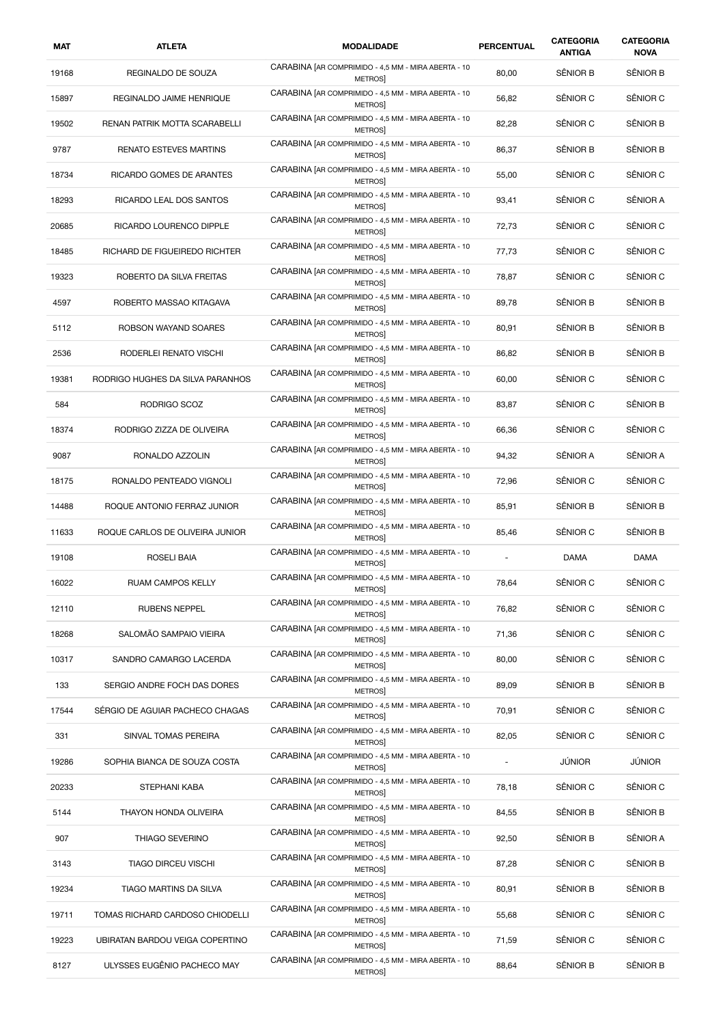| MAT   | <b>ATLETA</b>                    | <b>MODALIDADE</b>                                                    | <b>PERCENTUAL</b> | <b>CATEGORIA</b><br><b>ANTIGA</b> | <b>CATEGORIA</b><br><b>NOVA</b> |
|-------|----------------------------------|----------------------------------------------------------------------|-------------------|-----------------------------------|---------------------------------|
| 19168 | REGINALDO DE SOUZA               | CARABINA [AR COMPRIMIDO - 4,5 MM - MIRA ABERTA - 10<br><b>METROS</b> | 80,00             | SÊNIOR B                          | SÊNIOR B                        |
| 15897 | REGINALDO JAIME HENRIQUE         | CARABINA [AR COMPRIMIDO - 4,5 MM - MIRA ABERTA - 10<br>METROS        | 56,82             | SÊNIOR C                          | SÊNIOR C                        |
| 19502 | RENAN PATRIK MOTTA SCARABELLI    | CARABINA [AR COMPRIMIDO - 4,5 MM - MIRA ABERTA - 10<br>METROS        | 82,28             | SÊNIOR C                          | SÊNIOR B                        |
| 9787  | <b>RENATO ESTEVES MARTINS</b>    | CARABINA [AR COMPRIMIDO - 4,5 MM - MIRA ABERTA - 10<br><b>METROS</b> | 86,37             | SÊNIOR B                          | SÊNIOR B                        |
| 18734 | RICARDO GOMES DE ARANTES         | CARABINA [AR COMPRIMIDO - 4,5 MM - MIRA ABERTA - 10<br><b>METROS</b> | 55,00             | SÊNIOR C                          | SÊNIOR C                        |
| 18293 | RICARDO LEAL DOS SANTOS          | CARABINA [AR COMPRIMIDO - 4,5 MM - MIRA ABERTA - 10<br>METROS        | 93,41             | SÊNIOR C                          | SÊNIOR A                        |
| 20685 | RICARDO LOURENCO DIPPLE          | CARABINA [AR COMPRIMIDO - 4,5 MM - MIRA ABERTA - 10<br><b>METROS</b> | 72,73             | SÊNIOR C                          | SÊNIOR C                        |
| 18485 | RICHARD DE FIGUEIREDO RICHTER    | CARABINA [AR COMPRIMIDO - 4,5 MM - MIRA ABERTA - 10<br><b>METROS</b> | 77,73             | SÊNIOR C                          | SÊNIOR C                        |
| 19323 | ROBERTO DA SILVA FREITAS         | CARABINA [AR COMPRIMIDO - 4,5 MM - MIRA ABERTA - 10<br><b>METROS</b> | 78,87             | SÊNIOR C                          | SÊNIOR C                        |
| 4597  | ROBERTO MASSAO KITAGAVA          | CARABINA [AR COMPRIMIDO - 4,5 MM - MIRA ABERTA - 10<br>METROS        | 89,78             | SÊNIOR B                          | SÊNIOR B                        |
| 5112  | ROBSON WAYAND SOARES             | CARABINA [AR COMPRIMIDO - 4,5 MM - MIRA ABERTA - 10<br>METROS        | 80,91             | SÊNIOR B                          | SÊNIOR B                        |
| 2536  | RODERLEI RENATO VISCHI           | CARABINA [AR COMPRIMIDO - 4,5 MM - MIRA ABERTA - 10<br><b>METROS</b> | 86,82             | SÊNIOR B                          | SÊNIOR B                        |
| 19381 | RODRIGO HUGHES DA SILVA PARANHOS | CARABINA [AR COMPRIMIDO - 4,5 MM - MIRA ABERTA - 10<br><b>METROS</b> | 60,00             | SÊNIOR C                          | SÊNIOR C                        |
| 584   | RODRIGO SCOZ                     | CARABINA [AR COMPRIMIDO - 4,5 MM - MIRA ABERTA - 10<br>METROS        | 83,87             | SÊNIOR C                          | SÊNIOR B                        |
| 18374 | RODRIGO ZIZZA DE OLIVEIRA        | CARABINA [AR COMPRIMIDO - 4,5 MM - MIRA ABERTA - 10<br>METROS        | 66,36             | SÊNIOR C                          | SÊNIOR C                        |
| 9087  | RONALDO AZZOLIN                  | CARABINA [AR COMPRIMIDO - 4,5 MM - MIRA ABERTA - 10<br><b>METROS</b> | 94,32             | SÊNIOR A                          | SÊNIOR A                        |
| 18175 | RONALDO PENTEADO VIGNOLI         | CARABINA [AR COMPRIMIDO - 4,5 MM - MIRA ABERTA - 10<br><b>METROS</b> | 72,96             | SÊNIOR C                          | SÊNIOR C                        |
| 14488 | ROQUE ANTONIO FERRAZ JUNIOR      | CARABINA [AR COMPRIMIDO - 4,5 MM - MIRA ABERTA - 10<br>METROS        | 85,91             | SÊNIOR B                          | SÊNIOR B                        |
| 11633 | ROQUE CARLOS DE OLIVEIRA JUNIOR  | CARABINA [AR COMPRIMIDO - 4,5 MM - MIRA ABERTA - 10<br><b>METROS</b> | 85,46             | SÊNIOR C                          | SÊNIOR B                        |
| 19108 | ROSELI BAIA                      | CARABINA [AR COMPRIMIDO - 4,5 MM - MIRA ABERTA - 10<br><b>METROS</b> |                   | DAMA                              | DAMA                            |
| 16022 | RUAM CAMPOS KELLY                | CARABINA [AR COMPRIMIDO - 4,5 MM - MIRA ABERTA - 10<br>METROS        | 78,64             | SÊNIOR C                          | SËNIOR C                        |
| 12110 | <b>RUBENS NEPPEL</b>             | CARABINA [AR COMPRIMIDO - 4,5 MM - MIRA ABERTA - 10<br>METROS]       | 76,82             | SÊNIOR C                          | SÊNIOR C                        |
| 18268 | SALOMÃO SAMPAIO VIEIRA           | CARABINA [AR COMPRIMIDO - 4,5 MM - MIRA ABERTA - 10<br>METROS        | 71,36             | SÊNIOR C                          | SÊNIOR C                        |
| 10317 | SANDRO CAMARGO LACERDA           | CARABINA [AR COMPRIMIDO - 4,5 MM - MIRA ABERTA - 10<br>METROS        | 80,00             | SÊNIOR C                          | SÊNIOR C                        |
| 133   | SERGIO ANDRE FOCH DAS DORES      | CARABINA [AR COMPRIMIDO - 4,5 MM - MIRA ABERTA - 10<br>METROS        | 89,09             | SÊNIOR B                          | SÊNIOR B                        |
| 17544 | SÉRGIO DE AGUIAR PACHECO CHAGAS  | CARABINA [AR COMPRIMIDO - 4,5 MM - MIRA ABERTA - 10<br><b>METROS</b> | 70,91             | SÊNIOR C                          | SÊNIOR C                        |
| 331   | SINVAL TOMAS PEREIRA             | CARABINA [AR COMPRIMIDO - 4,5 MM - MIRA ABERTA - 10<br>METROS        | 82,05             | SÊNIOR C                          | SÊNIOR C                        |
| 19286 | SOPHIA BIANCA DE SOUZA COSTA     | CARABINA [AR COMPRIMIDO - 4,5 MM - MIRA ABERTA - 10<br>METROS        |                   | JÚNIOR                            | <b>JÚNIOR</b>                   |
| 20233 | STEPHANI KABA                    | CARABINA [AR COMPRIMIDO - 4,5 MM - MIRA ABERTA - 10<br>METROS        | 78,18             | SÊNIOR C                          | SÊNIOR C                        |
| 5144  | THAYON HONDA OLIVEIRA            | CARABINA [AR COMPRIMIDO - 4,5 MM - MIRA ABERTA - 10<br>METROS        | 84,55             | SÊNIOR B                          | SÊNIOR B                        |
| 907   | THIAGO SEVERINO                  | CARABINA [AR COMPRIMIDO - 4,5 MM - MIRA ABERTA - 10<br>METROS        | 92,50             | SÊNIOR B                          | SÊNIOR A                        |
| 3143  | <b>TIAGO DIRCEU VISCHI</b>       | CARABINA [AR COMPRIMIDO - 4,5 MM - MIRA ABERTA - 10<br><b>METROS</b> | 87,28             | SÊNIOR C                          | SÊNIOR B                        |
| 19234 | TIAGO MARTINS DA SILVA           | CARABINA [AR COMPRIMIDO - 4,5 MM - MIRA ABERTA - 10<br><b>METROS</b> | 80,91             | SÊNIOR B                          | SÊNIOR B                        |
| 19711 | TOMAS RICHARD CARDOSO CHIODELLI  | CARABINA [AR COMPRIMIDO - 4,5 MM - MIRA ABERTA - 10<br>METROS        | 55,68             | SÊNIOR C                          | SÊNIOR C                        |
| 19223 | UBIRATAN BARDOU VEIGA COPERTINO  | CARABINA [AR COMPRIMIDO - 4,5 MM - MIRA ABERTA - 10<br>METROS        | 71,59             | SÊNIOR C                          | SÊNIOR C                        |
| 8127  | ULYSSES EUGÊNIO PACHECO MAY      | CARABINA [AR COMPRIMIDO - 4,5 MM - MIRA ABERTA - 10<br>METROS]       | 88,64             | SÊNIOR B                          | SÊNIOR B                        |